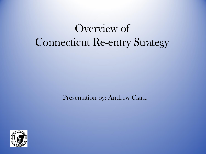# Overview of Connecticut Re-entry Strategy

Presentation by: Andrew Clark

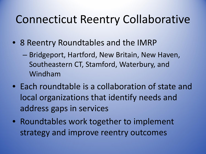#### Connecticut Reentry Collaborative

- 8 Reentry Roundtables and the IMRP
	- Bridgeport, Hartford, New Britain, New Haven, Southeastern CT, Stamford, Waterbury, and Windham
- Each roundtable is a collaboration of state and local organizations that identify needs and address gaps in services
- Roundtables work together to implement strategy and improve reentry outcomes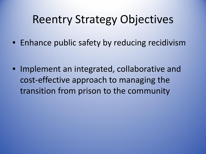#### Reentry Strategy Objectives

• Enhance public safety by reducing recidivism

• Implement an integrated, collaborative and cost-effective approach to managing the transition from prison to the community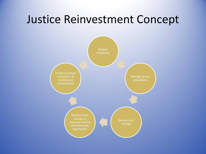#### Justice Reinvestment Concept

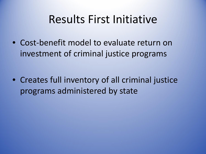#### Results First Initiative

• Cost-benefit model to evaluate return on investment of criminal justice programs

• Creates full inventory of all criminal justice programs administered by state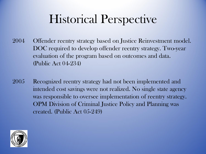# Historical Perspective

- 2004 Offender reentry strategy based on Justice Reinvestment model. DOC required to develop offender reentry strategy. Two-year evaluation of the program based on outcomes and data. (Public Act 04-234)
- 2005 Recognized reentry strategy had not been implemented and intended cost savings were not realized. No single state agency was responsible to oversee implementation of reentry strategy. OPM Division of Criminal Justice Policy and Planning was created. (Public Act 05-249)

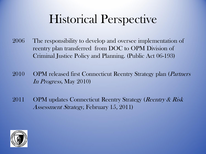# Historical Perspective

- 2006 The responsibility to develop and oversee implementation of reentry plan transferred from DOC to OPM Division of Criminal Justice Policy and Planning. (Public Act 06-193)
- 2010 OPM released first Connecticut Reentry Strategy plan (*Partners* In Progress, May 2010)
- 2011 OPM updates Connecticut Reentry Strategy (*Reentry & Risk* Assessment Strategy, February 15, 2011)

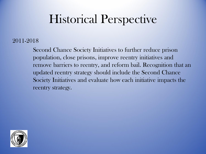# Historical Perspective

#### 2011-2018

Second Chance Society Initiatives to further reduce prison population, close prisons, improve reentry initiatives and remove barriers to reentry, and reform bail. Recognition that an updated reentry strategy should include the Second Chance Society Initiatives and evaluate how each initiative impacts the reentry strategy.

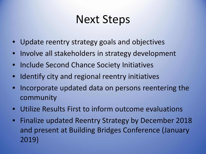#### Next Steps

- Update reentry strategy goals and objectives
- Involve all stakeholders in strategy development
- Include Second Chance Society Initiatives
- Identify city and regional reentry initiatives
- Incorporate updated data on persons reentering the community
- Utilize Results First to inform outcome evaluations
- Finalize updated Reentry Strategy by December 2018 and present at Building Bridges Conference (January 2019)